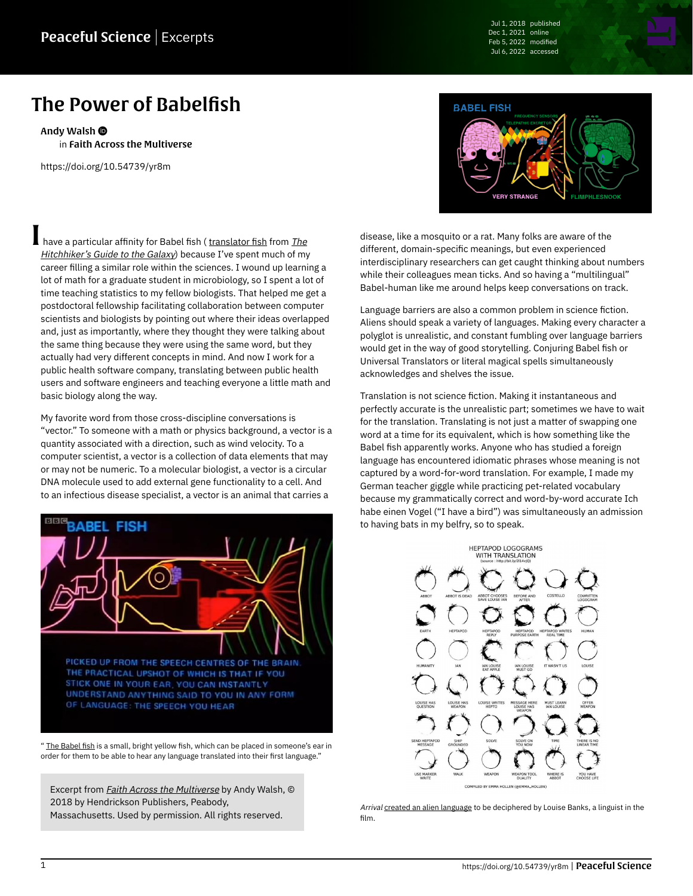Jul 1, 2018 published Dec 1, 2021 online Feb 5, 2022 modified Jul 6, 2022 accessed

## The Power of Babelfish

[Andy Walsh](https://peacefulscience.org/authors/awalsh/) in [Faith Across the Multiverse](https://peacefulscience.org/books/faith-across-multiverse/)

<https://doi.org/10.54739/yr8m>

have a particular affinity for Babel fish ( [translator fish](https://hitchhikers.fandom.com/wiki/Babel_Fish) from [The](https://peacefulscience.org/books/hitchhikers-guide-galaxy/) [Hitchhiker's Guide to the Galaxy](https://peacefulscience.org/books/hitchhikers-guide-galaxy/)) because I've spent much of my career filling a similar role within the sciences. I wound up learning a lot of math for a graduate student in microbiology, so I spent a lot of time teaching statistics to my fellow biologists. That helped me get a postdoctoral fellowship facilitating collaboration between computer scientists and biologists by pointing out where their ideas overlapped and, just as importantly, where they thought they were talking about the same thing because they were using the same word, but they actually had very different concepts in mind. And now I work for a public health software company, translating between public health users and software engineers and teaching everyone a little math and basic biology along the way.

My favorite word from those cross-discipline conversations is "vector." To someone with a math or physics background, a vector is a quantity associated with a direction, such as wind velocity. To a computer scientist, a vector is a collection of data elements that may or may not be numeric. To a molecular biologist, a vector is a circular DNA molecule used to add external gene functionality to a cell. And to an infectious disease specialist, a vector is an animal that carries a



" [The Babel fish](https://hitchhikers.fandom.com/wiki/Babel_Fish) is a small, bright yellow fish, which can be placed in someone's ear in order for them to be able to hear any language translated into their first language."

Excerpt from *[Faith Across the Multiverse](https://peacefulscience.org/books/faith-across-multiverse/)* by Andy Walsh, © 2018 by Hendrickson Publishers, Peabody, Massachusetts. Used by permission. All rights reserved.



disease, like a mosquito or a rat. Many folks are aware of the different, domain-specific meanings, but even experienced interdisciplinary researchers can get caught thinking about numbers while their colleagues mean ticks. And so having a "multilingual" Babel-human like me around helps keep conversations on track.

Language barriers are also a common problem in science fiction. Aliens should speak a variety of languages. Making every character a polyglot is unrealistic, and constant fumbling over language barriers would get in the way of good storytelling. Conjuring Babel fish or Universal Translators or literal magical spells simultaneously acknowledges and shelves the issue.

Translation is not science fiction. Making it instantaneous and perfectly accurate is the unrealistic part; sometimes we have to wait for the translation. Translating is not just a matter of swapping one word at a time for its equivalent, which is how something like the Babel fish apparently works. Anyone who has studied a foreign language has encountered idiomatic phrases whose meaning is not captured by a word-for-word translation. For example, I made my German teacher giggle while practicing pet-related vocabulary because my grammatically correct and word-by-word accurate Ich habe einen Vogel ("I have a bird") was simultaneously an admission to having bats in my belfry, so to speak.



Arrival [created an alien language](https://www.wired.com/2016/11/arrivals-designers-crafted-mesmerizing-alien-alphabet) to be deciphered by Louise Banks, a linguist in the film.